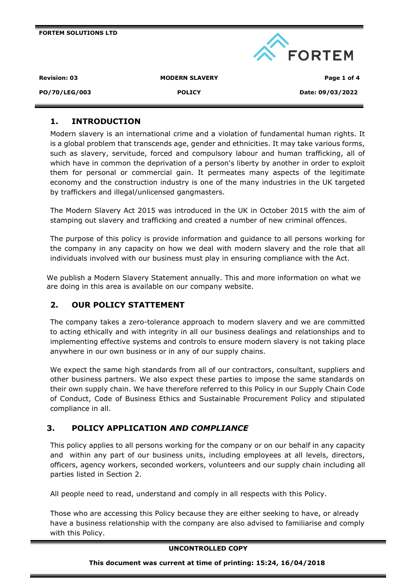|                     |                       | <b>EORTEM</b>    |
|---------------------|-----------------------|------------------|
| <b>Revision: 03</b> | <b>MODERN SLAVERY</b> | Page 1 of 4      |
| PO/70/LEG/003       | <b>POLICY</b>         | Date: 09/03/2022 |

# **1. INTRODUCTION**

**FORTEM SOLUTIONS LTD**

Modern slavery is an international crime and a violation of fundamental human rights. It is a global problem that transcends age, gender and ethnicities. It may take various forms, such as slavery, servitude, forced and compulsory labour and human trafficking, all of which have in common the deprivation of a person's liberty by another in order to exploit them for personal or commercial gain. It permeates many aspects of the legitimate economy and the construction industry is one of the many industries in the UK targeted by traffickers and illegal/unlicensed gangmasters.

The Modern Slavery Act 2015 was introduced in the UK in October 2015 with the aim of stamping out slavery and trafficking and created a number of new criminal offences.

The purpose of this policy is provide information and guidance to all persons working for the company in any capacity on how we deal with modern slavery and the role that all individuals involved with our business must play in ensuring compliance with the Act.

We publish a Modern Slavery Statement annually. This and more information on what we are doing in this area is available on our company website.

# **2. OUR POLICY STATTEMENT**

The company takes a zero-tolerance approach to modern slavery and we are committed to acting ethically and with integrity in all our business dealings and relationships and to implementing effective systems and controls to ensure modern slavery is not taking place anywhere in our own business or in any of our supply chains.

We expect the same high standards from all of our contractors, consultant, suppliers and other business partners. We also expect these parties to impose the same standards on their own supply chain. We have therefore referred to this Policy in our Supply Chain Code of Conduct, Code of Business Ethics and Sustainable Procurement Policy and stipulated compliance in all.

# **3. POLICY APPLICATION** *AND COMPLIANCE*

This policy applies to all persons working for the company or on our behalf in any capacity and within any part of our business units, including employees at all levels, directors, officers, agency workers, seconded workers, volunteers and our supply chain including all parties listed in Section 2.

All people need to read, understand and comply in all respects with this Policy.

Those who are accessing this Policy because they are either seeking to have, or already have a business relationship with the company are also advised to familiarise and comply with this Policy.

#### **UNCONTROLLED COPY**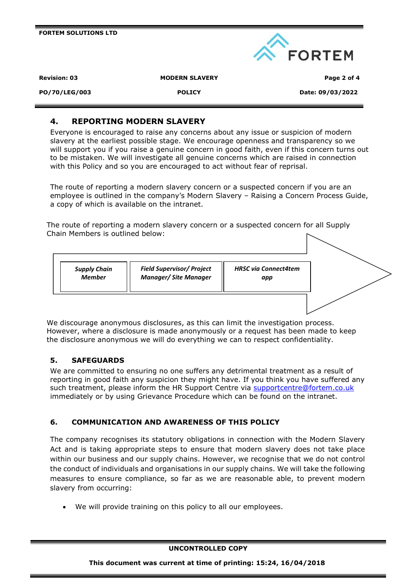**FORTEM SOLUTIONS LTD**



**Revision: 03 MODERN SLAVERY Page 2 of 4**

#### **PO/70/LEG/003 POLICY Date: 09/03/2022**

## **4. REPORTING MODERN SLAVERY**

Everyone is encouraged to raise any concerns about any issue or suspicion of modern slavery at the earliest possible stage. We encourage openness and transparency so we will support you if you raise a genuine concern in good faith, even if this concern turns out to be mistaken. We will investigate all genuine concerns which are raised in connection with this Policy and so you are encouraged to act without fear of reprisal.

The route of reporting a modern slavery concern or a suspected concern if you are an employee is outlined in the company's Modern Slavery – Raising a Concern Process Guide, a copy of which is available on the intranet.

The route of reporting a modern slavery concern or a suspected concern for all Supply Chain Members is outlined below:



We discourage anonymous disclosures, as this can limit the investigation process. However, where a disclosure is made anonymously or a request has been made to keep the disclosure anonymous we will do everything we can to respect confidentiality.

### **5. SAFEGUARDS**

We are committed to ensuring no one suffers any detrimental treatment as a result of reporting in good faith any suspicion they might have. If you think you have suffered any such treatment, please inform the HR Support Centre via [supportcentre@fortem.co.uk](mailto:supportcentre@fortem.co.uk) immediately or by using Grievance Procedure which can be found on the intranet.

### **6. COMMUNICATION AND AWARENESS OF THIS POLICY**

The company recognises its statutory obligations in connection with the Modern Slavery Act and is taking appropriate steps to ensure that modern slavery does not take place within our business and our supply chains. However, we recognise that we do not control the conduct of individuals and organisations in our supply chains. We will take the following measures to ensure compliance, so far as we are reasonable able, to prevent modern slavery from occurring:

• We will provide training on this policy to all our employees.

#### **UNCONTROLLED COPY**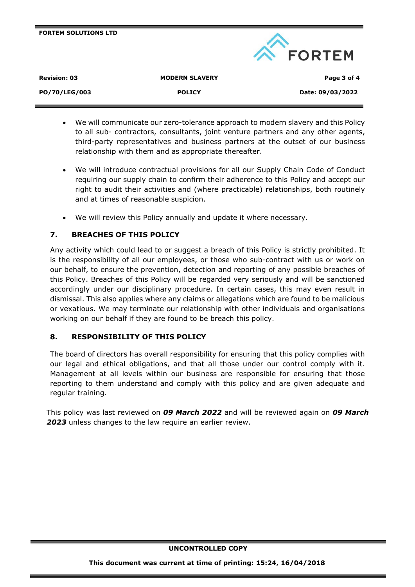| <b>FORTEM SOLUTIONS LTD</b> |                       | <b>EORTEM</b>    |
|-----------------------------|-----------------------|------------------|
| <b>Revision: 03</b>         | <b>MODERN SLAVERY</b> | Page 3 of 4      |
| PO/70/LEG/003               | <b>POLICY</b>         | Date: 09/03/2022 |

- We will communicate our zero-tolerance approach to modern slavery and this Policy to all sub- contractors, consultants, joint venture partners and any other agents, third-party representatives and business partners at the outset of our business relationship with them and as appropriate thereafter.
- We will introduce contractual provisions for all our Supply Chain Code of Conduct requiring our supply chain to confirm their adherence to this Policy and accept our right to audit their activities and (where practicable) relationships, both routinely and at times of reasonable suspicion.
- We will review this Policy annually and update it where necessary.

## **7. BREACHES OF THIS POLICY**

Any activity which could lead to or suggest a breach of this Policy is strictly prohibited. It is the responsibility of all our employees, or those who sub-contract with us or work on our behalf, to ensure the prevention, detection and reporting of any possible breaches of this Policy. Breaches of this Policy will be regarded very seriously and will be sanctioned accordingly under our disciplinary procedure. In certain cases, this may even result in dismissal. This also applies where any claims or allegations which are found to be malicious or vexatious. We may terminate our relationship with other individuals and organisations working on our behalf if they are found to be breach this policy.

### **8. RESPONSIBILITY OF THIS POLICY**

The board of directors has overall responsibility for ensuring that this policy complies with our legal and ethical obligations, and that all those under our control comply with it. Management at all levels within our business are responsible for ensuring that those reporting to them understand and comply with this policy and are given adequate and regular training.

This policy was last reviewed on *09 March 2022* and will be reviewed again on *09 March 2023* unless changes to the law require an earlier review.

#### **UNCONTROLLED COPY**